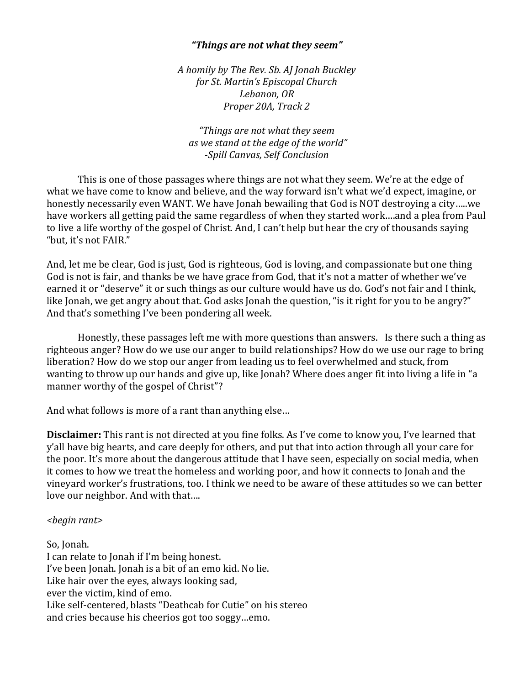## *"Things are not what they seem"*

*A homily by The Rev. Sb. AJ Jonah Buckley for St. Martin's Episcopal Church Lebanon, OR Proper 20A, Track 2* 

*"Things are not what they seem as we stand at the edge of the world" -Spill Canvas, Self Conclusion* 

This is one of those passages where things are not what they seem. We're at the edge of what we have come to know and believe, and the way forward isn't what we'd expect, imagine, or honestly necessarily even WANT. We have Jonah bewailing that God is NOT destroying a city…..we have workers all getting paid the same regardless of when they started work….and a plea from Paul to live a life worthy of the gospel of Christ. And, I can't help but hear the cry of thousands saying "but, it's not FAIR."

And, let me be clear, God is just, God is righteous, God is loving, and compassionate but one thing God is not is fair, and thanks be we have grace from God, that it's not a matter of whether we've earned it or "deserve" it or such things as our culture would have us do. God's not fair and I think, like Jonah, we get angry about that. God asks Jonah the question, "is it right for you to be angry?" And that's something I've been pondering all week.

Honestly, these passages left me with more questions than answers. Is there such a thing as righteous anger? How do we use our anger to build relationships? How do we use our rage to bring liberation? How do we stop our anger from leading us to feel overwhelmed and stuck, from wanting to throw up our hands and give up, like Jonah? Where does anger fit into living a life in "a manner worthy of the gospel of Christ"?

And what follows is more of a rant than anything else…

**Disclaimer:** This rant is not directed at you fine folks. As I've come to know you, I've learned that y'all have big hearts, and care deeply for others, and put that into action through all your care for the poor. It's more about the dangerous attitude that I have seen, especially on social media, when it comes to how we treat the homeless and working poor, and how it connects to Jonah and the vineyard worker's frustrations, too. I think we need to be aware of these attitudes so we can better love our neighbor. And with that….

## *<begin rant>*

So, Jonah. I can relate to Jonah if I'm being honest. I've been Jonah. Jonah is a bit of an emo kid. No lie. Like hair over the eyes, always looking sad, ever the victim, kind of emo. Like self-centered, blasts "Deathcab for Cutie" on his stereo and cries because his cheerios got too soggy…emo.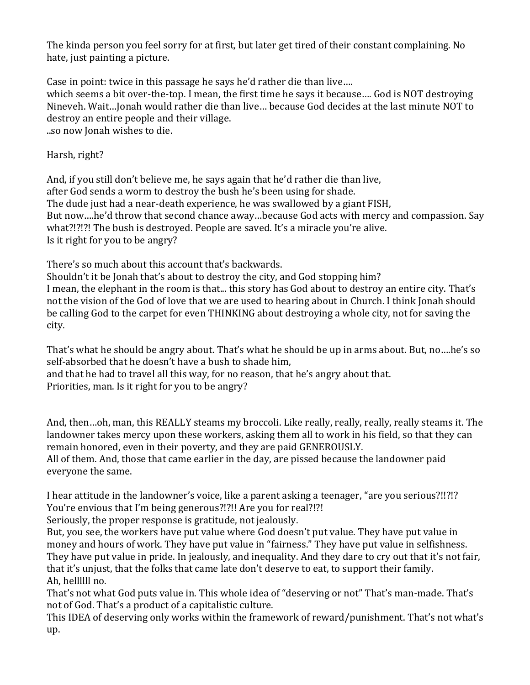The kinda person you feel sorry for at first, but later get tired of their constant complaining. No hate, just painting a picture.

Case in point: twice in this passage he says he'd rather die than live…. which seems a bit over-the-top. I mean, the first time he says it because…. God is NOT destroying Nineveh. Wait…Jonah would rather die than live… because God decides at the last minute NOT to destroy an entire people and their village.

..so now Jonah wishes to die.

Harsh, right?

And, if you still don't believe me, he says again that he'd rather die than live, after God sends a worm to destroy the bush he's been using for shade. The dude just had a near-death experience, he was swallowed by a giant FISH, But now….he'd throw that second chance away…because God acts with mercy and compassion. Say what?!?!?! The bush is destroyed. People are saved. It's a miracle you're alive. Is it right for you to be angry?

There's so much about this account that's backwards.

Shouldn't it be Jonah that's about to destroy the city, and God stopping him? I mean, the elephant in the room is that... this story has God about to destroy an entire city. That's not the vision of the God of love that we are used to hearing about in Church. I think Jonah should be calling God to the carpet for even THINKING about destroying a whole city, not for saving the city.

That's what he should be angry about. That's what he should be up in arms about. But, no….he's so self-absorbed that he doesn't have a bush to shade him, and that he had to travel all this way, for no reason, that he's angry about that.

Priorities, man. Is it right for you to be angry?

And, then…oh, man, this REALLY steams my broccoli. Like really, really, really, really steams it. The landowner takes mercy upon these workers, asking them all to work in his field, so that they can remain honored, even in their poverty, and they are paid GENEROUSLY. All of them. And, those that came earlier in the day, are pissed because the landowner paid everyone the same.

I hear attitude in the landowner's voice, like a parent asking a teenager, "are you serious?!!?!? You're envious that I'm being generous?!?!! Are you for real?!?!

Seriously, the proper response is gratitude, not jealously.

But, you see, the workers have put value where God doesn't put value. They have put value in money and hours of work. They have put value in "fairness." They have put value in selfishness. They have put value in pride. In jealously, and inequality. And they dare to cry out that it's not fair, that it's unjust, that the folks that came late don't deserve to eat, to support their family. Ah, hellllll no.

That's not what God puts value in. This whole idea of "deserving or not" That's man-made. That's not of God. That's a product of a capitalistic culture.

This IDEA of deserving only works within the framework of reward/punishment. That's not what's up.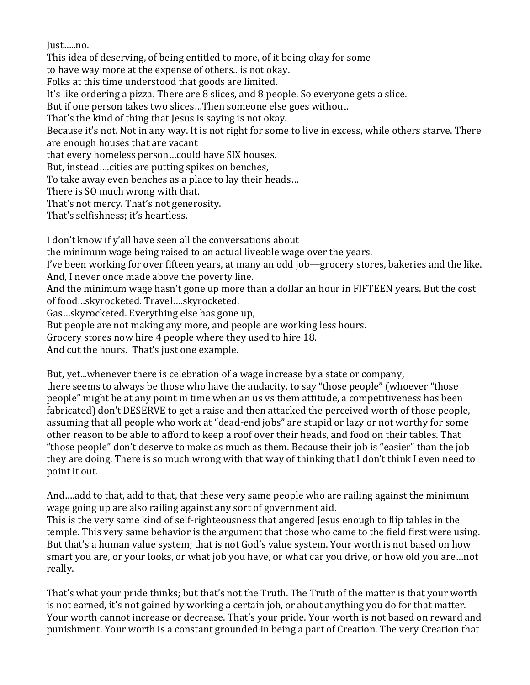Just…..no.

This idea of deserving, of being entitled to more, of it being okay for some to have way more at the expense of others.. is not okay. Folks at this time understood that goods are limited. It's like ordering a pizza. There are 8 slices, and 8 people. So everyone gets a slice. But if one person takes two slices…Then someone else goes without. That's the kind of thing that Jesus is saying is not okay. Because it's not. Not in any way. It is not right for some to live in excess, while others starve. There are enough houses that are vacant that every homeless person…could have SIX houses. But, instead….cities are putting spikes on benches, To take away even benches as a place to lay their heads… There is SO much wrong with that. That's not mercy. That's not generosity. That's selfishness; it's heartless.

I don't know if y'all have seen all the conversations about the minimum wage being raised to an actual liveable wage over the years. I've been working for over fifteen years, at many an odd job—grocery stores, bakeries and the like. And, I never once made above the poverty line. And the minimum wage hasn't gone up more than a dollar an hour in FIFTEEN years. But the cost of food…skyrocketed. Travel….skyrocketed. Gas…skyrocketed. Everything else has gone up, But people are not making any more, and people are working less hours. Grocery stores now hire 4 people where they used to hire 18. And cut the hours. That's just one example.

But, yet...whenever there is celebration of a wage increase by a state or company, there seems to always be those who have the audacity, to say "those people" (whoever "those people" might be at any point in time when an us vs them attitude, a competitiveness has been fabricated) don't DESERVE to get a raise and then attacked the perceived worth of those people, assuming that all people who work at "dead-end jobs" are stupid or lazy or not worthy for some other reason to be able to afford to keep a roof over their heads, and food on their tables. That "those people" don't deserve to make as much as them. Because their job is "easier" than the job they are doing. There is so much wrong with that way of thinking that I don't think I even need to point it out.

And….add to that, add to that, that these very same people who are railing against the minimum wage going up are also railing against any sort of government aid.

This is the very same kind of self-righteousness that angered Jesus enough to flip tables in the temple. This very same behavior is the argument that those who came to the field first were using. But that's a human value system; that is not God's value system. Your worth is not based on how smart you are, or your looks, or what job you have, or what car you drive, or how old you are…not really.

That's what your pride thinks; but that's not the Truth. The Truth of the matter is that your worth is not earned, it's not gained by working a certain job, or about anything you do for that matter. Your worth cannot increase or decrease. That's your pride. Your worth is not based on reward and punishment. Your worth is a constant grounded in being a part of Creation. The very Creation that